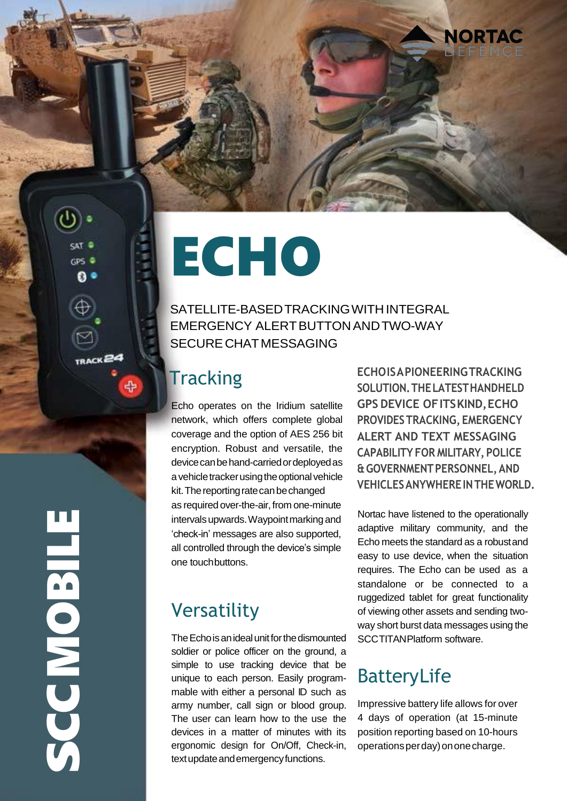# ECHO

SATELLITE-BASEDTRACKINGWITHINTEGRAL EMERGENCY ALERTBUTTONANDTWO-WAY SECURECHATMESSAGING

## **Tracking**

Echo operates on the Iridium satellite network, which offers complete global coverage and the option of AES 256 bit encryption. Robust and versatile, the device can be hand-carried or deployed as a vehicle tracker using the optional vehicle kit. The reporting rate can be changed as required over-the-air, from one-minute intervals upwards. Waypoint marking and 'check-in' messages are also supported, all controlled through the device's simple one touchbuttons.

# Versatility

The Echo is an ideal unit for the dismounted soldier or police officer on the ground, a simple to use tracking device that be unique to each person. Easily programmable with either a personal ID such as army number, call sign or blood group. The user can learn how to the use the devices in a matter of minutes with its ergonomic design for On/Off, Check-in, ergonomic design for On/Off, Check-in, operationsperday)ononecharge.<br>
textupdateandemergencyfunctions.

**ECHOISAPIONEERINGTRACKING SOLUTION.THELATESTHANDHELD GPS DEVICE OFITSKIND,ECHO PROVIDESTRACKING, EMERGENCY ALERT AND TEXT MESSAGING CAPABILITY FOR MILITARY, POLICE &GOVERNMENTPERSONNEL,AND VEHICLESANYWHEREINTHEWORLD.**

**NORTAC** 

Nortac have listened to the operationally adaptive military community, and the Echo meets the standard as a robustand easy to use device, when the situation requires. The Echo can be used as a standalone or be connected to a ruggedized tablet for great functionality of viewing other assets and sending twoway short burst data messages using the SCCTITANPlatform software.

# BatteryLife

Impressive battery life allows for over 4 days of operation (at 15-minute position reporting based on 10-hours

 $\bigcup$ CMOBIL  $\mathbf{E}$ 

**CPS**